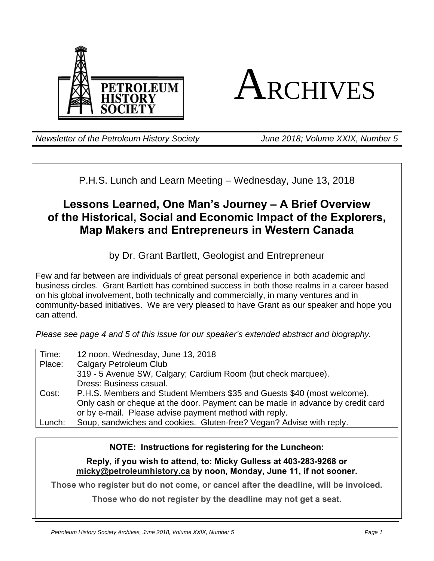



*Newsletter of the Petroleum History Society June 2018; Volume XXIX, Number 5*

P.H.S. Lunch and Learn Meeting – Wednesday, June 13, 2018

# **Lessons Learned, One Man's Journey – A Brief Overview of the Historical, Social and Economic Impact of the Explorers, Map Makers and Entrepreneurs in Western Canada**

by Dr. Grant Bartlett, Geologist and Entrepreneur

Few and far between are individuals of great personal experience in both academic and business circles. Grant Bartlett has combined success in both those realms in a career based on his global involvement, both technically and commercially, in many ventures and in community-based initiatives. We are very pleased to have Grant as our speaker and hope you can attend.

*Please see page 4 and 5 of this issue for our speaker's extended abstract and biography.* 

| Time:  | 12 noon, Wednesday, June 13, 2018                                              |
|--------|--------------------------------------------------------------------------------|
| Place: | <b>Calgary Petroleum Club</b>                                                  |
|        | 319 - 5 Avenue SW, Calgary; Cardium Room (but check marquee).                  |
|        | Dress: Business casual.                                                        |
| Cost:  | P.H.S. Members and Student Members \$35 and Guests \$40 (most welcome).        |
|        | Only cash or cheque at the door. Payment can be made in advance by credit card |
|        | or by e-mail. Please advise payment method with reply.                         |
| Lunch: | Soup, sandwiches and cookies. Gluten-free? Vegan? Advise with reply.           |
|        |                                                                                |

**NOTE: Instructions for registering for the Luncheon:** 

**Reply, if you wish to attend, to: Micky Gulless at 403-283-9268 or micky@petroleumhistory.ca by noon, Monday, June 11, if not sooner.** 

**Those who register but do not come, or cancel after the deadline, will be invoiced.** 

**Those who do not register by the deadline may not get a seat.**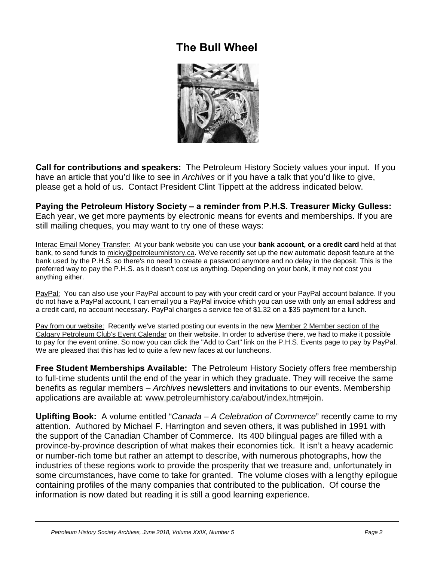# **The Bull Wheel**



**Call for contributions and speakers:** The Petroleum History Society values your input. If you have an article that you'd like to see in *Archives* or if you have a talk that you'd like to give, please get a hold of us. Contact President Clint Tippett at the address indicated below.

**Paying the Petroleum History Society – a reminder from P.H.S. Treasurer Micky Gulless:**  Each year, we get more payments by electronic means for events and memberships. If you are still mailing cheques, you may want to try one of these ways:

Interac Email Money Transfer: At your bank website you can use your **bank account, or a credit card** held at that bank, to send funds to micky@petroleumhistory.ca. We've recently set up the new automatic deposit feature at the bank used by the P.H.S. so there's no need to create a password anymore and no delay in the deposit. This is the preferred way to pay the P.H.S. as it doesn't cost us anything. Depending on your bank, it may not cost you anything either.

PayPal: You can also use your PayPal account to pay with your credit card or your PayPal account balance. If you do not have a PayPal account, I can email you a PayPal invoice which you can use with only an email address and a credit card, no account necessary. PayPal charges a service fee of \$1.32 on a \$35 payment for a lunch.

Pay from our website: Recently we've started posting our events in the new Member 2 Member section of the Calgary Petroleum Club's Event Calendar on their website. In order to advertise there, we had to make it possible to pay for the event online. So now you can click the "Add to Cart" link on the P.H.S. Events page to pay by PayPal. We are pleased that this has led to quite a few new faces at our luncheons.

**Free Student Memberships Available:** The Petroleum History Society offers free membership to full-time students until the end of the year in which they graduate. They will receive the same benefits as regular members – *Archives* newsletters and invitations to our events. Membership applications are available at: www.petroleumhistory.ca/about/index.htm#join.

**Uplifting Book:** A volume entitled "*Canada – A Celebration of Commerce*" recently came to my attention. Authored by Michael F. Harrington and seven others, it was published in 1991 with the support of the Canadian Chamber of Commerce. Its 400 bilingual pages are filled with a province-by-province description of what makes their economies tick. It isn't a heavy academic or number-rich tome but rather an attempt to describe, with numerous photographs, how the industries of these regions work to provide the prosperity that we treasure and, unfortunately in some circumstances, have come to take for granted. The volume closes with a lengthy epilogue containing profiles of the many companies that contributed to the publication. Of course the information is now dated but reading it is still a good learning experience.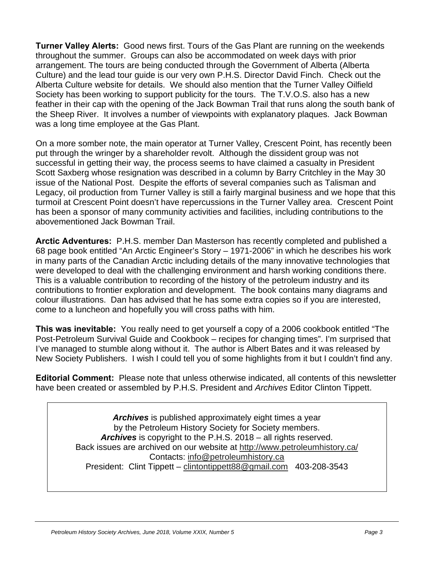**Turner Valley Alerts:** Good news first. Tours of the Gas Plant are running on the weekends throughout the summer. Groups can also be accommodated on week days with prior arrangement. The tours are being conducted through the Government of Alberta (Alberta Culture) and the lead tour guide is our very own P.H.S. Director David Finch. Check out the Alberta Culture website for details. We should also mention that the Turner Valley Oilfield Society has been working to support publicity for the tours. The T.V.O.S. also has a new feather in their cap with the opening of the Jack Bowman Trail that runs along the south bank of the Sheep River. It involves a number of viewpoints with explanatory plaques. Jack Bowman was a long time employee at the Gas Plant.

On a more somber note, the main operator at Turner Valley, Crescent Point, has recently been put through the wringer by a shareholder revolt. Although the dissident group was not successful in getting their way, the process seems to have claimed a casualty in President Scott Saxberg whose resignation was described in a column by Barry Critchley in the May 30 issue of the National Post. Despite the efforts of several companies such as Talisman and Legacy, oil production from Turner Valley is still a fairly marginal business and we hope that this turmoil at Crescent Point doesn't have repercussions in the Turner Valley area. Crescent Point has been a sponsor of many community activities and facilities, including contributions to the abovementioned Jack Bowman Trail.

**Arctic Adventures:** P.H.S. member Dan Masterson has recently completed and published a 68 page book entitled "An Arctic Engineer's Story – 1971-2006" in which he describes his work in many parts of the Canadian Arctic including details of the many innovative technologies that were developed to deal with the challenging environment and harsh working conditions there. This is a valuable contribution to recording of the history of the petroleum industry and its contributions to frontier exploration and development. The book contains many diagrams and colour illustrations. Dan has advised that he has some extra copies so if you are interested, come to a luncheon and hopefully you will cross paths with him.

**This was inevitable:** You really need to get yourself a copy of a 2006 cookbook entitled "The Post-Petroleum Survival Guide and Cookbook – recipes for changing times". I'm surprised that I've managed to stumble along without it. The author is Albert Bates and it was released by New Society Publishers. I wish I could tell you of some highlights from it but I couldn't find any.

**Editorial Comment:** Please note that unless otherwise indicated, all contents of this newsletter have been created or assembled by P.H.S. President and *Archives* Editor Clinton Tippett.

> *Archives* is published approximately eight times a year by the Petroleum History Society for Society members. *Archives* is copyright to the P.H.S. 2018 – all rights reserved. Back issues are archived on our website at http://www.petroleumhistory.ca/ Contacts: info@petroleumhistory.ca President: Clint Tippett – clintontippett88@gmail.com 403-208-3543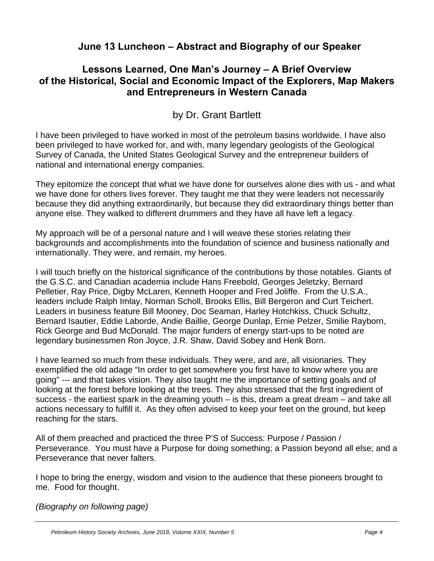## **June 13 Luncheon – Abstract and Biography of our Speaker**

## **Lessons Learned, One Man's Journey – A Brief Overview of the Historical, Social and Economic Impact of the Explorers, Map Makers and Entrepreneurs in Western Canada**

## by Dr. Grant Bartlett

I have been privileged to have worked in most of the petroleum basins worldwide. I have also been privileged to have worked for, and with, many legendary geologists of the Geological Survey of Canada, the United States Geological Survey and the entrepreneur builders of national and international energy companies.

They epitomize the concept that what we have done for ourselves alone dies with us - and what we have done for others lives forever. They taught me that they were leaders not necessarily because they did anything extraordinarily, but because they did extraordinary things better than anyone else. They walked to different drummers and they have all have left a legacy.

My approach will be of a personal nature and I will weave these stories relating their backgrounds and accomplishments into the foundation of science and business nationally and internationally. They were, and remain, my heroes.

I will touch briefly on the historical significance of the contributions by those notables. Giants of the G.S.C. and Canadian academia include Hans Freebold, Georges Jeletzky, Bernard Pelletier, Ray Price, Digby McLaren, Kenneth Hooper and Fred Joliffe. From the U.S.A., leaders include Ralph Imlay, Norman Scholl, Brooks Ellis, Bill Bergeron and Curt Teichert. Leaders in business feature Bill Mooney, Doc Seaman, Harley Hotchkiss, Chuck Schultz, Bernard Isautier, Eddie Laborde, Andie Baillie, George Dunlap, Ernie Pelzer, Smilie Rayborn, Rick George and Bud McDonald. The major funders of energy start-ups to be noted are legendary businessmen Ron Joyce, J.R. Shaw, David Sobey and Henk Born.

I have learned so much from these individuals. They were, and are, all visionaries. They exemplified the old adage "In order to get somewhere you first have to know where you are going" --- and that takes vision. They also taught me the importance of setting goals and of looking at the forest before looking at the trees. They also stressed that the first ingredient of success - the earliest spark in the dreaming youth – is this, dream a great dream – and take all actions necessary to fulfill it. As they often advised to keep your feet on the ground, but keep reaching for the stars.

All of them preached and practiced the three P'S of Success: Purpose / Passion / Perseverance. You must have a Purpose for doing something; a Passion beyond all else; and a Perseverance that never falters.

I hope to bring the energy, wisdom and vision to the audience that these pioneers brought to me. Food for thought.

*(Biography on following page)*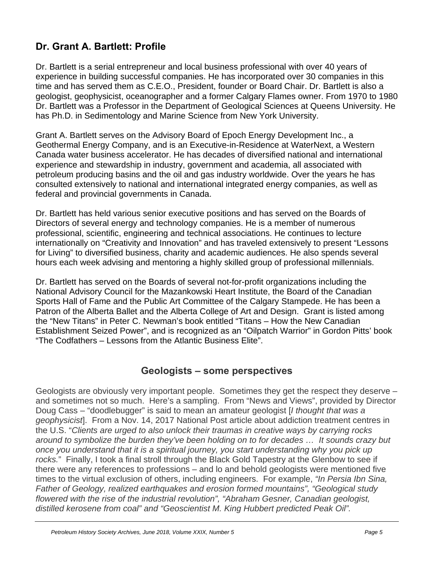## **Dr. Grant A. Bartlett: Profile**

Dr. Bartlett is a serial entrepreneur and local business professional with over 40 years of experience in building successful companies. He has incorporated over 30 companies in this time and has served them as C.E.O., President, founder or Board Chair. Dr. Bartlett is also a geologist, geophysicist, oceanographer and a former Calgary Flames owner. From 1970 to 1980 Dr. Bartlett was a Professor in the Department of Geological Sciences at Queens University. He has Ph.D. in Sedimentology and Marine Science from New York University.

Grant A. Bartlett serves on the Advisory Board of Epoch Energy Development Inc., a Geothermal Energy Company, and is an Executive-in-Residence at WaterNext, a Western Canada water business accelerator. He has decades of diversified national and international experience and stewardship in industry, government and academia, all associated with petroleum producing basins and the oil and gas industry worldwide. Over the years he has consulted extensively to national and international integrated energy companies, as well as federal and provincial governments in Canada.

Dr. Bartlett has held various senior executive positions and has served on the Boards of Directors of several energy and technology companies. He is a member of numerous professional, scientific, engineering and technical associations. He continues to lecture internationally on "Creativity and Innovation" and has traveled extensively to present "Lessons for Living" to diversified business, charity and academic audiences. He also spends several hours each week advising and mentoring a highly skilled group of professional millennials.

Dr. Bartlett has served on the Boards of several not-for-profit organizations including the National Advisory Council for the Mazankowski Heart Institute, the Board of the Canadian Sports Hall of Fame and the Public Art Committee of the Calgary Stampede. He has been a Patron of the Alberta Ballet and the Alberta College of Art and Design. Grant is listed among the "New Titans" in Peter C. Newman's book entitled "Titans – How the New Canadian Establishment Seized Power", and is recognized as an "Oilpatch Warrior" in Gordon Pitts' book "The Codfathers – Lessons from the Atlantic Business Elite".

## **Geologists – some perspectives**

Geologists are obviously very important people. Sometimes they get the respect they deserve – and sometimes not so much. Here's a sampling. From "News and Views", provided by Director Doug Cass – "doodlebugger" is said to mean an amateur geologist [*I thought that was a geophysicist*]. From a Nov. 14, 2017 National Post article about addiction treatment centres in the U.S. "*Clients are urged to also unlock their traumas in creative ways by carrying rocks around to symbolize the burden they've been holding on to for decades … It sounds crazy but once you understand that it is a spiritual journey, you start understanding why you pick up rocks.*" Finally, I took a final stroll through the Black Gold Tapestry at the Glenbow to see if there were any references to professions – and lo and behold geologists were mentioned five times to the virtual exclusion of others, including engineers. For example, *"In Persia Ibn Sina, Father of Geology, realized earthquakes and erosion formed mountains", "Geological study flowered with the rise of the industrial revolution", "Abraham Gesner, Canadian geologist, distilled kerosene from coal" and "Geoscientist M. King Hubbert predicted Peak Oil".*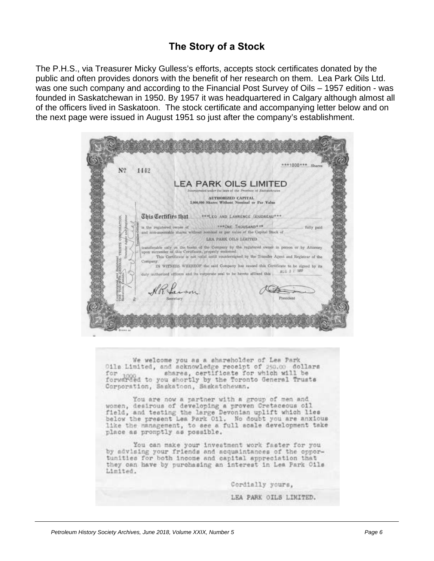## **The Story of a Stock**

The P.H.S., via Treasurer Micky Gulless's efforts, accepts stock certificates donated by the public and often provides donors with the benefit of her research on them. Lea Park Oils Ltd. was one such company and according to the Financial Post Survey of Oils – 1957 edition - was founded in Saskatchewan in 1950. By 1957 it was headquartered in Calgary although almost all of the officers lived in Saskatoon. The stock certificate and accompanying letter below and on the next page were issued in August 1951 so just after the company's establishment.



We welcome you as a shareholder of Lea Park 011s Limited, and acknowledge receipt of 250.00 dollars<br>for 1000 shares, certificate for which will be for 1000 shares, certificate for which will be<br>forwarded to you shortly by the Toronto General Trusts Corporation, Saskatoon, Saskatchewan.

You are now a partner with a group of men and women, desirous of developing a proven Cretaceous oil Field, and testing the large Devonian uplift which lies<br>below the present Lea Park Oil. No doubt you are anxious<br>like the management, to see a full scale development take place as promptly as possible.

You can make your investment work faster for you by advising your friends and acquaintances of the opportunities for both income and capital appreciation that they can have by purchasing an interest in Lea Park Oile Limited.

Cordially yours,

LEA PARK OILS LIMITED.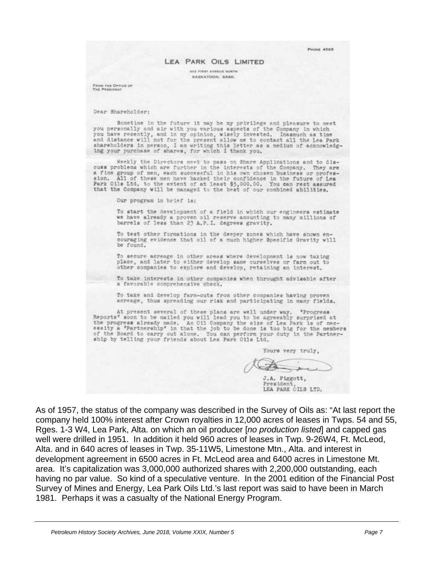**PHONE 4595** 

#### LEA PARK OILS LIMITED

**305 FIRST AVENUE NORTH BASKATOON, SASK.** 

From THE OFFICE OF Tue Personne

Dear Shareholder:

Sometime in the future it may be my privilege and pleasure to meet you personally and air with you various aspects of the Company in which you have recently, and in my opinion, wisely invested. Inassuch as time<br>and distance will not for the present allow me to contact all the Lea Park shareholders in person, I am writing this letter as a medium of acknowledging your purchase of shares, for which I thank you.

Weekly the Directors meet to pass on Share Applications and to discuss problems which are further in the interests of the Company. They are a fine group of men, each successful in his own chosen business or profession. All of these men have backed their confidence in the future of Lea<br>Park Oils Ltd, to the extent of at least \$5,000.00. You can rest assured<br>tha

Our program in brief is:

To start the development of a field in which our engineers estimate<br>we have already a proven oil reserve amounting to many millions of<br>barrels of less than 23 A.P.I. degrees gravity.

To test other formations in the deeper zones which have shown en-couraging evidence that oil of a much higher Specific Gravity will be found.

To secure acreage in other areas where development is now taking place, and later to either develop same ourselves or farm out to other companies to explore and develop, retaining an interest.

To take interests in other companies when throught advisable after a favorable comprehensive check.

To take and develop farm-outs from other companies having proven acreage, thus spreading our risk and participating in many fields.

At present several of these plans are well under way. "Progress<br>Reports" soon to be mailed you will lead you to be agreeably surprised at the progress already made. An Oll Company the size of Lea Park is of nec-<br>essity a "Partnership" in that the job to be done is too big for the members<br>of the Board to carry out alone. You can perform your duty in the Partn

Yours very truly,

J.A. Piggott, President LEA PARK OILS LTD.

As of 1957, the status of the company was described in the Survey of Oils as: "At last report the company held 100% interest after Crown royalties in 12,000 acres of leases in Twps. 54 and 55, Rges. 1-3 W4, Lea Park, Alta. on which an oil producer [*no production listed*] and capped gas well were drilled in 1951. In addition it held 960 acres of leases in Twp. 9-26W4, Ft. McLeod, Alta. and in 640 acres of leases in Twp. 35-11W5, Limestone Mtn., Alta. and interest in development agreement in 6500 acres in Ft. McLeod area and 6400 acres in Limestone Mt. area. It's capitalization was 3,000,000 authorized shares with 2,200,000 outstanding, each having no par value. So kind of a speculative venture. In the 2001 edition of the Financial Post Survey of Mines and Energy, Lea Park Oils Ltd.'s last report was said to have been in March 1981. Perhaps it was a casualty of the National Energy Program.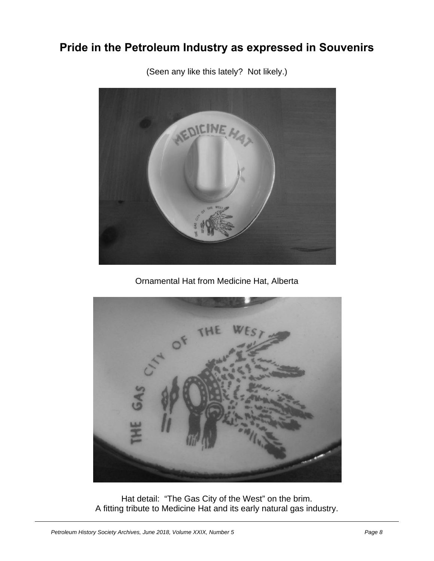# **Pride in the Petroleum Industry as expressed in Souvenirs**



(Seen any like this lately? Not likely.)

Ornamental Hat from Medicine Hat, Alberta



Hat detail: "The Gas City of the West" on the brim. A fitting tribute to Medicine Hat and its early natural gas industry.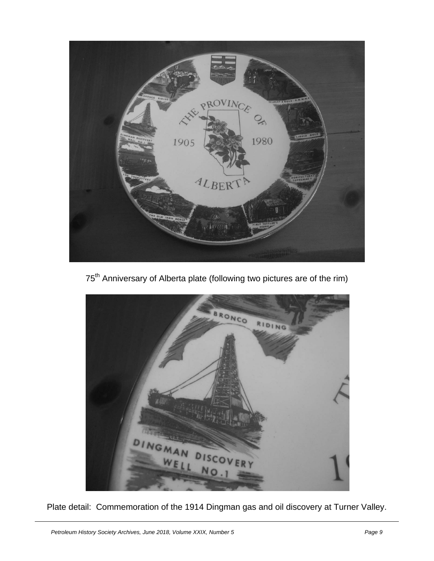

75<sup>th</sup> Anniversary of Alberta plate (following two pictures are of the rim)



Plate detail: Commemoration of the 1914 Dingman gas and oil discovery at Turner Valley.